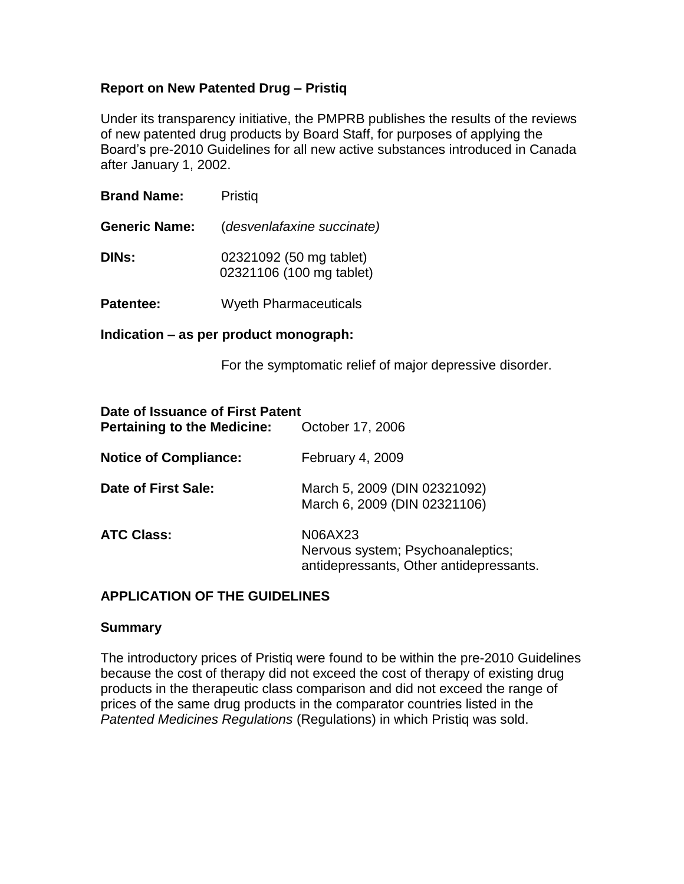# **Report on New Patented Drug – Pristiq**

Under its transparency initiative, the PMPRB publishes the results of the reviews of new patented drug products by Board Staff, for purposes of applying the Board's pre-2010 Guidelines for all new active substances introduced in Canada after January 1, 2002.

| <b>Brand Name:</b>   | Pristiq                                             |  |  |
|----------------------|-----------------------------------------------------|--|--|
| <b>Generic Name:</b> | (desvenlafaxine succinate)                          |  |  |
| <b>DINs:</b>         | 02321092 (50 mg tablet)<br>02321106 (100 mg tablet) |  |  |
| <b>Patentee:</b>     | <b>Wyeth Pharmaceuticals</b>                        |  |  |

**Indication – as per product monograph:** 

For the symptomatic relief of major depressive disorder.

| Date of Issuance of First Patent<br><b>Pertaining to the Medicine:</b> | October 17, 2006                                                                        |  |  |
|------------------------------------------------------------------------|-----------------------------------------------------------------------------------------|--|--|
| <b>Notice of Compliance:</b>                                           | February 4, 2009                                                                        |  |  |
| Date of First Sale:                                                    | March 5, 2009 (DIN 02321092)<br>March 6, 2009 (DIN 02321106)                            |  |  |
| <b>ATC Class:</b>                                                      | N06AX23<br>Nervous system; Psychoanaleptics;<br>antidepressants, Other antidepressants. |  |  |

## **APPLICATION OF THE GUIDELINES**

#### **Summary**

The introductory prices of Pristiq were found to be within the pre-2010 Guidelines because the cost of therapy did not exceed the cost of therapy of existing drug products in the therapeutic class comparison and did not exceed the range of prices of the same drug products in the comparator countries listed in the *Patented Medicines Regulations* (Regulations) in which Pristiq was sold.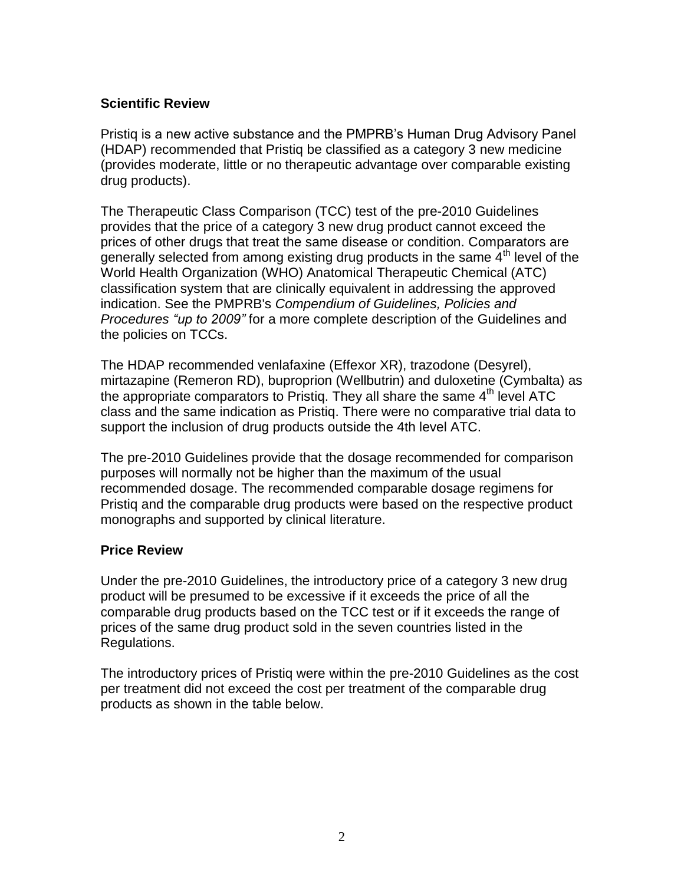# **Scientific Review**

Pristiq is a new active substance and the PMPRB's Human Drug Advisory Panel (HDAP) recommended that Pristiq be classified as a category 3 new medicine (provides moderate, little or no therapeutic advantage over comparable existing drug products).

The Therapeutic Class Comparison (TCC) test of the pre-2010 Guidelines provides that the price of a category 3 new drug product cannot exceed the prices of other drugs that treat the same disease or condition. Comparators are generally selected from among existing drug products in the same 4<sup>th</sup> level of the World Health Organization (WHO) Anatomical Therapeutic Chemical (ATC) classification system that are clinically equivalent in addressing the approved indication. See the PMPRB's *Compendium of Guidelines, Policies and Procedures "up to 2009"* for a more complete description of the Guidelines and the policies on TCCs.

The HDAP recommended venlafaxine (Effexor XR), trazodone (Desyrel), mirtazapine (Remeron RD), buproprion (Wellbutrin) and duloxetine (Cymbalta) as the appropriate comparators to Pristig. They all share the same  $4<sup>th</sup>$  level ATC class and the same indication as Pristiq. There were no comparative trial data to support the inclusion of drug products outside the 4th level ATC.

The pre-2010 Guidelines provide that the dosage recommended for comparison purposes will normally not be higher than the maximum of the usual recommended dosage. The recommended comparable dosage regimens for Pristiq and the comparable drug products were based on the respective product monographs and supported by clinical literature.

# **Price Review**

Under the pre-2010 Guidelines, the introductory price of a category 3 new drug product will be presumed to be excessive if it exceeds the price of all the comparable drug products based on the TCC test or if it exceeds the range of prices of the same drug product sold in the seven countries listed in the Regulations.

The introductory prices of Pristiq were within the pre-2010 Guidelines as the cost per treatment did not exceed the cost per treatment of the comparable drug products as shown in the table below.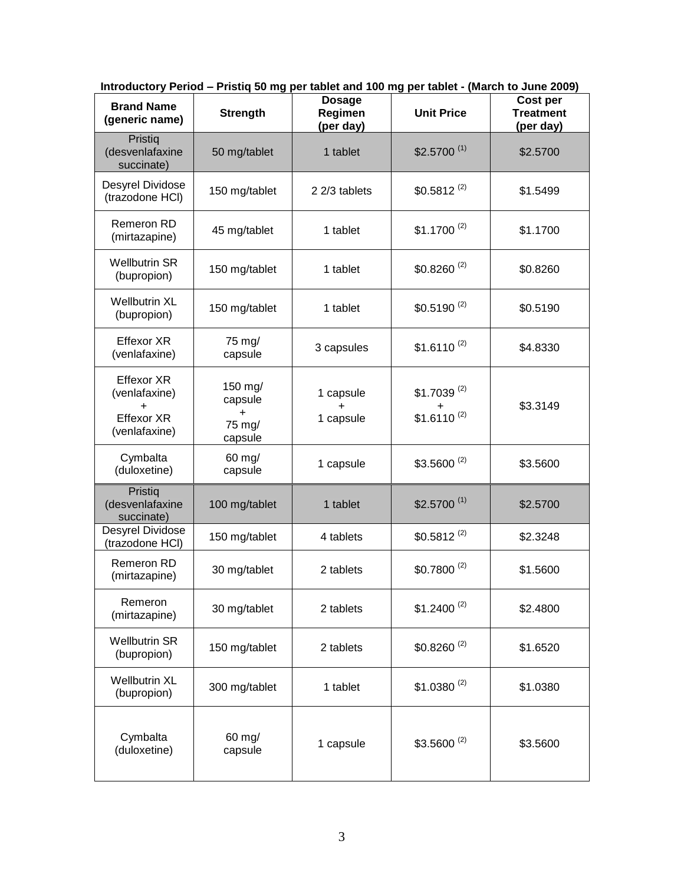| <b>Brand Name</b><br>(generic name)                                                   | <b>Strength</b>                                      | <b>Dosage</b><br>Regimen<br>(per day) | <b>Unit Price</b>                       | Cost per<br><b>Treatment</b><br>(per day) |
|---------------------------------------------------------------------------------------|------------------------------------------------------|---------------------------------------|-----------------------------------------|-------------------------------------------|
| Pristiq<br>(desvenlafaxine<br>succinate)                                              | 50 mg/tablet                                         | 1 tablet                              | $$2.5700^{(1)}$                         | \$2.5700                                  |
| Desyrel Dividose<br>(trazodone HCI)                                                   | 150 mg/tablet                                        | 2 2/3 tablets                         | $$0.5812^{(2)}$                         | \$1.5499                                  |
| Remeron RD<br>(mirtazapine)                                                           | 45 mg/tablet                                         | 1 tablet                              | $$1.1700^{(2)}$                         | \$1.1700                                  |
| <b>Wellbutrin SR</b><br>(bupropion)                                                   | 150 mg/tablet                                        | 1 tablet                              | $$0.8260^{(2)}$                         | \$0.8260                                  |
| <b>Wellbutrin XL</b><br>(bupropion)                                                   | 150 mg/tablet                                        | 1 tablet                              | $$0.5190^{(2)}$                         | \$0.5190                                  |
| <b>Effexor XR</b><br>(venlafaxine)                                                    | 75 mg/<br>capsule                                    | 3 capsules                            | $$1.6110^{(2)}$                         | \$4.8330                                  |
| <b>Effexor XR</b><br>(venlafaxine)<br>$\ddot{}$<br><b>Effexor XR</b><br>(venlafaxine) | 150 mg/<br>capsule<br>$\ddot{}$<br>75 mg/<br>capsule | 1 capsule<br>$\ddot{}$<br>1 capsule   | $$1.7039^{(2)}$<br>+<br>$$1.6110^{(2)}$ | \$3.3149                                  |
| Cymbalta<br>(duloxetine)                                                              | 60 mg/<br>capsule                                    | 1 capsule                             | $$3.5600^{(2)}$                         | \$3.5600                                  |
| Pristiq<br>(desvenlafaxine<br>succinate)                                              | 100 mg/tablet                                        | 1 tablet                              | $$2.5700^{(1)}$                         | \$2.5700                                  |
| Desyrel Dividose<br>(trazodone HCI)                                                   | 150 mg/tablet                                        | 4 tablets                             | $$0.5812^{(2)}$                         | \$2.3248                                  |
| Remeron RD<br>(mirtazapine)                                                           | 30 mg/tablet                                         | 2 tablets                             | $$0.7800^{(2)}$$                        | \$1.5600                                  |
| Remeron<br>(mirtazapine)                                                              | 30 mg/tablet                                         | 2 tablets                             | $$1.2400^{(2)}$                         | \$2.4800                                  |
| <b>Wellbutrin SR</b><br>(bupropion)                                                   | 150 mg/tablet                                        | 2 tablets                             | $$0.8260^{(2)}$$                        | \$1.6520                                  |
| <b>Wellbutrin XL</b><br>(bupropion)                                                   | 300 mg/tablet                                        | 1 tablet                              | $$1.0380^{(2)}$                         | \$1.0380                                  |
| Cymbalta<br>(duloxetine)                                                              | $60$ mg/<br>capsule                                  | 1 capsule                             | $$3.5600^{(2)}$                         | \$3.5600                                  |

**Introductory Period – Pristiq 50 mg per tablet and 100 mg per tablet - (March to June 2009)**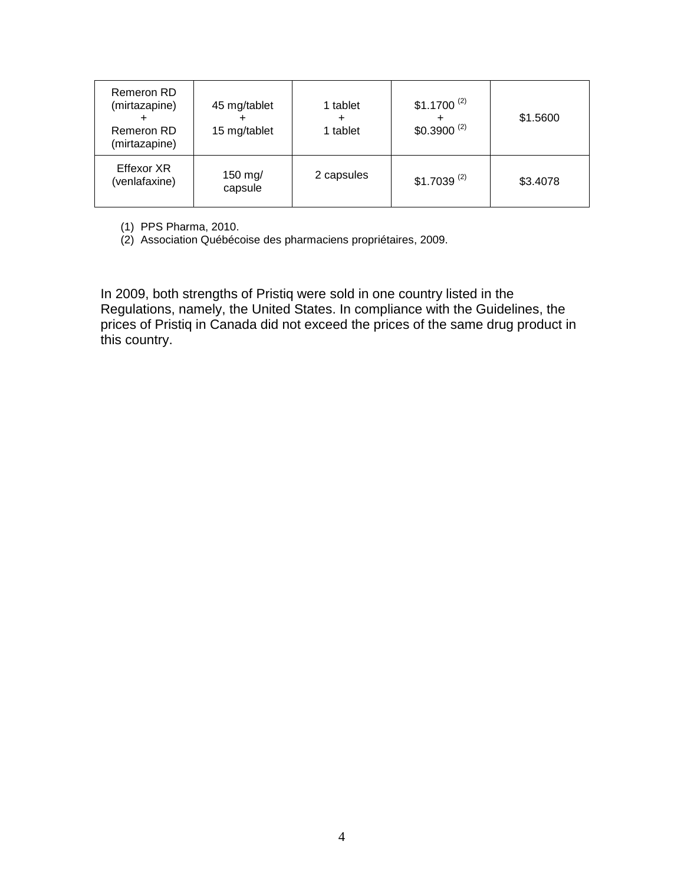| Remeron RD<br>(mirtazapine)<br>Remeron RD<br>(mirtazapine) | 45 mg/tablet<br>15 mg/tablet | 1 tablet<br>٠<br>1 tablet | $$1.1700^{(2)}$<br>+<br>$$0.3900^{(2)}$$ | \$1.5600 |
|------------------------------------------------------------|------------------------------|---------------------------|------------------------------------------|----------|
| Effexor XR<br>(venlafaxine)                                | 150 mg/<br>capsule           | 2 capsules                | $$1.7039^{(2)}$                          | \$3.4078 |

(1) PPS Pharma, 2010.

(2) Association Québécoise des pharmaciens propriétaires, 2009.

In 2009, both strengths of Pristiq were sold in one country listed in the Regulations, namely, the United States. In compliance with the Guidelines, the prices of Pristiq in Canada did not exceed the prices of the same drug product in this country.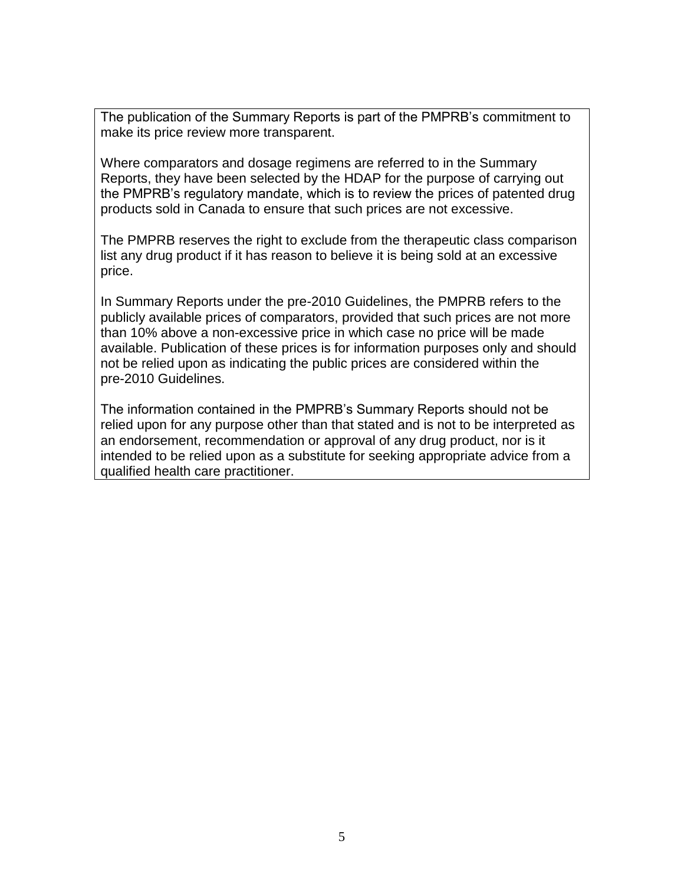The publication of the Summary Reports is part of the PMPRB's commitment to make its price review more transparent.

Where comparators and dosage regimens are referred to in the Summary Reports, they have been selected by the HDAP for the purpose of carrying out the PMPRB's regulatory mandate, which is to review the prices of patented drug products sold in Canada to ensure that such prices are not excessive.

The PMPRB reserves the right to exclude from the therapeutic class comparison list any drug product if it has reason to believe it is being sold at an excessive price.

In Summary Reports under the pre-2010 Guidelines, the PMPRB refers to the publicly available prices of comparators, provided that such prices are not more than 10% above a non-excessive price in which case no price will be made available. Publication of these prices is for information purposes only and should not be relied upon as indicating the public prices are considered within the pre-2010 Guidelines.

The information contained in the PMPRB's Summary Reports should not be relied upon for any purpose other than that stated and is not to be interpreted as an endorsement, recommendation or approval of any drug product, nor is it intended to be relied upon as a substitute for seeking appropriate advice from a qualified health care practitioner.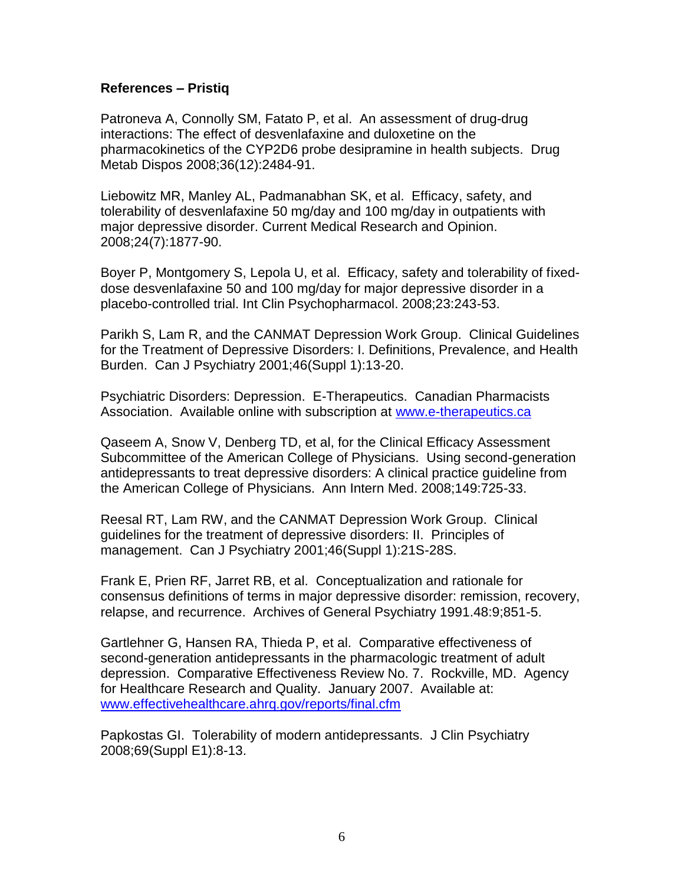## **References – Pristiq**

Patroneva A, Connolly SM, Fatato P, et al. An assessment of drug-drug interactions: The effect of desvenlafaxine and duloxetine on the pharmacokinetics of the CYP2D6 probe desipramine in health subjects. Drug Metab Dispos 2008;36(12):2484-91.

Liebowitz MR, Manley AL, Padmanabhan SK, et al. Efficacy, safety, and tolerability of desvenlafaxine 50 mg/day and 100 mg/day in outpatients with major depressive disorder. Current Medical Research and Opinion. 2008;24(7):1877-90.

Boyer P, Montgomery S, Lepola U, et al. Efficacy, safety and tolerability of fixeddose desvenlafaxine 50 and 100 mg/day for major depressive disorder in a placebo-controlled trial. Int Clin Psychopharmacol. 2008;23:243-53.

Parikh S, Lam R, and the CANMAT Depression Work Group. Clinical Guidelines for the Treatment of Depressive Disorders: I. Definitions, Prevalence, and Health Burden. Can J Psychiatry 2001;46(Suppl 1):13-20.

Psychiatric Disorders: Depression. E-Therapeutics. Canadian Pharmacists Association. Available online with subscription at [www.e-therapeutics.ca](http://www.e-therapeutics.ca/)

Qaseem A, Snow V, Denberg TD, et al, for the Clinical Efficacy Assessment Subcommittee of the American College of Physicians. Using second-generation antidepressants to treat depressive disorders: A clinical practice guideline from the American College of Physicians. Ann Intern Med. 2008;149:725-33.

Reesal RT, Lam RW, and the CANMAT Depression Work Group. Clinical guidelines for the treatment of depressive disorders: II. Principles of management. Can J Psychiatry 2001;46(Suppl 1):21S-28S.

Frank E, Prien RF, Jarret RB, et al. Conceptualization and rationale for consensus definitions of terms in major depressive disorder: remission, recovery, relapse, and recurrence. Archives of General Psychiatry 1991.48:9;851-5.

Gartlehner G, Hansen RA, Thieda P, et al. Comparative effectiveness of second-generation antidepressants in the pharmacologic treatment of adult depression. Comparative Effectiveness Review No. 7. Rockville, MD. Agency for Healthcare Research and Quality. January 2007. Available at: [www.effectivehealthcare.ahrq.gov/reports/final.cfm](http://www.effectivehealthcare.ahrq.gov/reports/final.cfm)

Papkostas GI. Tolerability of modern antidepressants. J Clin Psychiatry 2008;69(Suppl E1):8-13.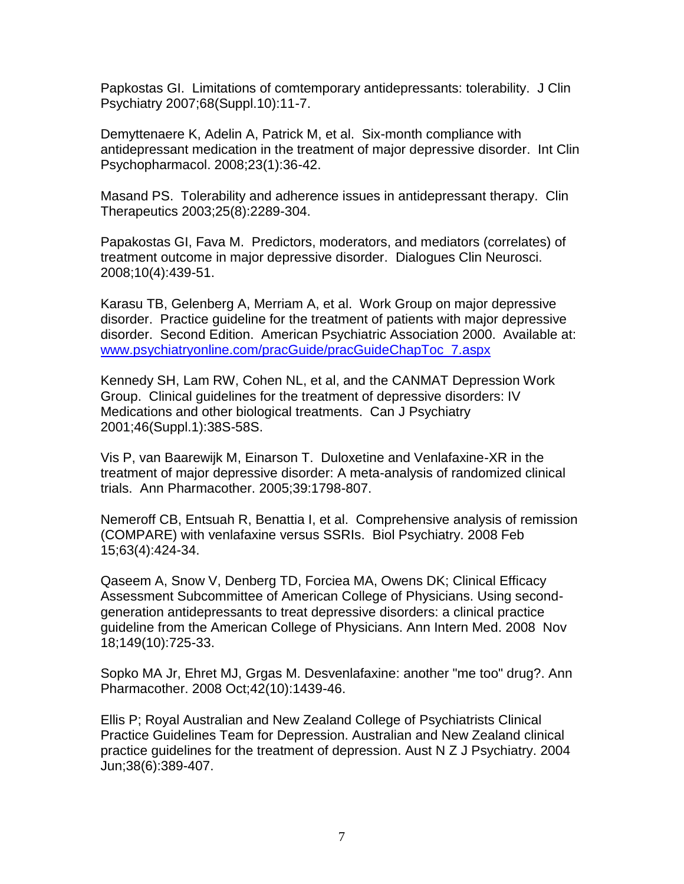Papkostas GI. Limitations of comtemporary antidepressants: tolerability. J Clin Psychiatry 2007;68(Suppl.10):11-7.

Demyttenaere K, Adelin A, Patrick M, et al. Six-month compliance with antidepressant medication in the treatment of major depressive disorder. Int Clin Psychopharmacol. 2008;23(1):36-42.

Masand PS. Tolerability and adherence issues in antidepressant therapy. Clin Therapeutics 2003;25(8):2289-304.

Papakostas GI, Fava M. Predictors, moderators, and mediators (correlates) of treatment outcome in major depressive disorder. Dialogues Clin Neurosci. 2008;10(4):439-51.

Karasu TB, Gelenberg A, Merriam A, et al. Work Group on major depressive disorder. Practice guideline for the treatment of patients with major depressive disorder. Second Edition. American Psychiatric Association 2000. Available at: [www.psychiatryonline.com/pracGuide/pracGuideChapToc\\_7.aspx](http://www.psychiatryonline.com/pracGuide/pracGuideChapToc_7.aspx)

Kennedy SH, Lam RW, Cohen NL, et al, and the CANMAT Depression Work Group. Clinical guidelines for the treatment of depressive disorders: IV Medications and other biological treatments. Can J Psychiatry 2001;46(Suppl.1):38S-58S.

Vis P, van Baarewijk M, Einarson T. Duloxetine and Venlafaxine-XR in the treatment of major depressive disorder: A meta-analysis of randomized clinical trials. Ann Pharmacother. 2005;39:1798-807.

Nemeroff CB, Entsuah R, Benattia I, et al. Comprehensive analysis of remission (COMPARE) with venlafaxine versus SSRIs. Biol Psychiatry. 2008 Feb 15;63(4):424-34.

Qaseem A, Snow V, Denberg TD, Forciea MA, Owens DK; Clinical Efficacy Assessment Subcommittee of American College of Physicians. Using secondgeneration antidepressants to treat depressive disorders: a clinical practice guideline from the American College of Physicians. Ann Intern Med. 2008 Nov 18;149(10):725-33.

Sopko MA Jr, Ehret MJ, Grgas M. Desvenlafaxine: another "me too" drug?. Ann Pharmacother. 2008 Oct;42(10):1439-46.

Ellis P; Royal Australian and New Zealand College of Psychiatrists Clinical Practice Guidelines Team for Depression. Australian and New Zealand clinical practice guidelines for the treatment of depression. Aust N Z J Psychiatry. 2004 Jun;38(6):389-407.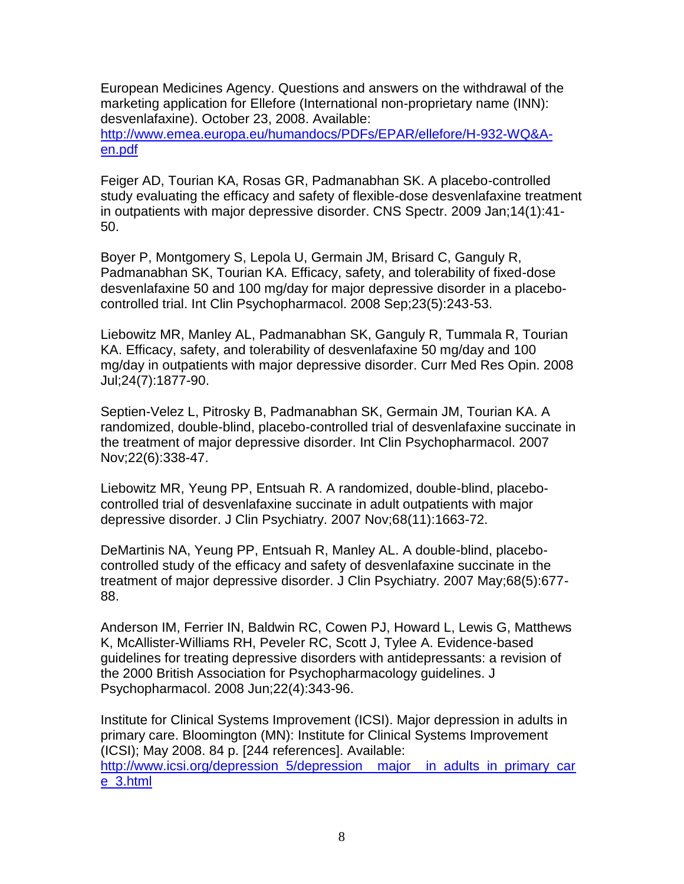European Medicines Agency. Questions and answers on the withdrawal of the marketing application for Ellefore (International non-proprietary name (INN): desvenlafaxine). October 23, 2008. Available:

[http://www.emea.europa.eu/humandocs/PDFs/EPAR/ellefore/H-932-WQ&A](http://www.emea.europa.eu/humandocs/PDFs/EPAR/ellefore/H-932-WQ&A-en.pdf)[en.pdf](http://www.emea.europa.eu/humandocs/PDFs/EPAR/ellefore/H-932-WQ&A-en.pdf)

Feiger AD, Tourian KA, Rosas GR, Padmanabhan SK. A placebo-controlled study evaluating the efficacy and safety of flexible-dose desvenlafaxine treatment in outpatients with major depressive disorder. CNS Spectr. 2009 Jan;14(1):41- 50.

Boyer P, Montgomery S, Lepola U, Germain JM, Brisard C, Ganguly R, Padmanabhan SK, Tourian KA. Efficacy, safety, and tolerability of fixed-dose desvenlafaxine 50 and 100 mg/day for major depressive disorder in a placebocontrolled trial. Int Clin Psychopharmacol. 2008 Sep;23(5):243-53.

Liebowitz MR, Manley AL, Padmanabhan SK, Ganguly R, Tummala R, Tourian KA. Efficacy, safety, and tolerability of desvenlafaxine 50 mg/day and 100 mg/day in outpatients with major depressive disorder. Curr Med Res Opin. 2008 Jul;24(7):1877-90.

Septien-Velez L, Pitrosky B, Padmanabhan SK, Germain JM, Tourian KA. A randomized, double-blind, placebo-controlled trial of desvenlafaxine succinate in the treatment of major depressive disorder. Int Clin Psychopharmacol. 2007 Nov;22(6):338-47.

Liebowitz MR, Yeung PP, Entsuah R. A randomized, double-blind, placebocontrolled trial of desvenlafaxine succinate in adult outpatients with major depressive disorder. J Clin Psychiatry. 2007 Nov;68(11):1663-72.

DeMartinis NA, Yeung PP, Entsuah R, Manley AL. A double-blind, placebocontrolled study of the efficacy and safety of desvenlafaxine succinate in the treatment of major depressive disorder. J Clin Psychiatry. 2007 May;68(5):677- 88.

Anderson IM, Ferrier IN, Baldwin RC, Cowen PJ, Howard L, Lewis G, Matthews K, McAllister-Williams RH, Peveler RC, Scott J, Tylee A. Evidence-based guidelines for treating depressive disorders with antidepressants: a revision of the 2000 British Association for Psychopharmacology guidelines. J Psychopharmacol. 2008 Jun;22(4):343-96.

Institute for Clinical Systems Improvement (ICSI). Major depression in adults in primary care. Bloomington (MN): Institute for Clinical Systems Improvement (ICSI); May 2008. 84 p. [244 references]. Available: http://www.icsi.org/depression\_5/depression\_major\_in\_adults\_in\_primary\_car [e\\_3.html](http://www.icsi.org/depression_5/depression__major__in_adults_in_primary_care_3.html)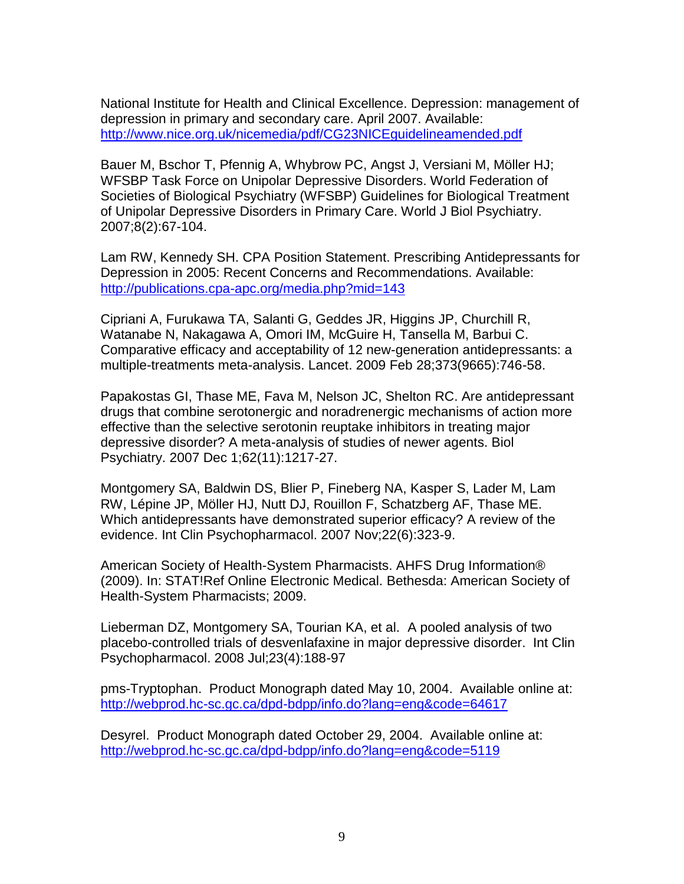National Institute for Health and Clinical Excellence. Depression: management of depression in primary and secondary care. April 2007. Available: <http://www.nice.org.uk/nicemedia/pdf/CG23NICEguidelineamended.pdf>

Bauer M, Bschor T, Pfennig A, Whybrow PC, Angst J, Versiani M, Möller HJ; WFSBP Task Force on Unipolar Depressive Disorders. World Federation of Societies of Biological Psychiatry (WFSBP) Guidelines for Biological Treatment of Unipolar Depressive Disorders in Primary Care. World J Biol Psychiatry. 2007;8(2):67-104.

Lam RW, Kennedy SH. CPA Position Statement. Prescribing Antidepressants for Depression in 2005: Recent Concerns and Recommendations. Available: <http://publications.cpa-apc.org/media.php?mid=143>

Cipriani A, Furukawa TA, Salanti G, Geddes JR, Higgins JP, Churchill R, Watanabe N, Nakagawa A, Omori IM, McGuire H, Tansella M, Barbui C. Comparative efficacy and acceptability of 12 new-generation antidepressants: a multiple-treatments meta-analysis. Lancet. 2009 Feb 28;373(9665):746-58.

Papakostas GI, Thase ME, Fava M, Nelson JC, Shelton RC. Are antidepressant drugs that combine serotonergic and noradrenergic mechanisms of action more effective than the selective serotonin reuptake inhibitors in treating major depressive disorder? A meta-analysis of studies of newer agents. Biol Psychiatry. 2007 Dec 1;62(11):1217-27.

Montgomery SA, Baldwin DS, Blier P, Fineberg NA, Kasper S, Lader M, Lam RW, Lépine JP, Möller HJ, Nutt DJ, Rouillon F, Schatzberg AF, Thase ME. Which antidepressants have demonstrated superior efficacy? A review of the evidence. Int Clin Psychopharmacol. 2007 Nov;22(6):323-9.

American Society of Health-System Pharmacists. AHFS Drug Information® (2009). In: STAT!Ref Online Electronic Medical. Bethesda: American Society of Health-System Pharmacists; 2009.

Lieberman DZ, Montgomery SA, Tourian KA, et al. A pooled analysis of two placebo-controlled trials of desvenlafaxine in major depressive disorder. Int Clin Psychopharmacol. 2008 Jul;23(4):188-97

pms-Tryptophan. Product Monograph dated May 10, 2004. Available online at: <http://webprod.hc-sc.gc.ca/dpd-bdpp/info.do?lang=eng&code=64617>

Desyrel. Product Monograph dated October 29, 2004. Available online at: <http://webprod.hc-sc.gc.ca/dpd-bdpp/info.do?lang=eng&code=5119>